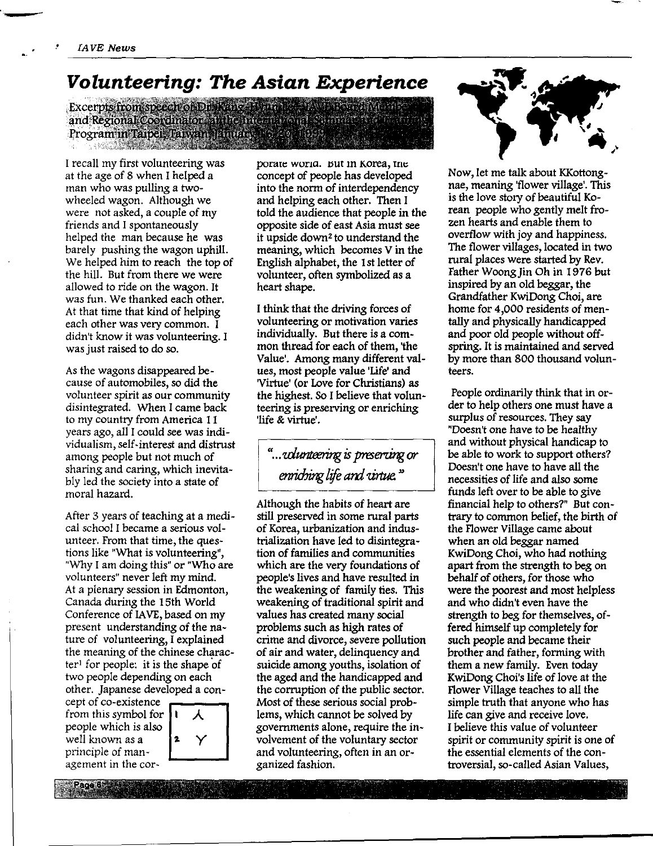## **Volunteering: The Asian Experience**

Excerpts from speech of Draking Hynale PAU Barro Mani and Regional Coordinator and connective and Summar Program in Taipei, Traiwan JEmuang 2006 1999 **The annual contract of the contract of the contract of the contract of the contract of the contract of the contract of the contract of the contract of the contract of the contract of th** 

I recall my first volunteering was at the age of 8 when I helped a man who was pulling a twowheeled wagon. Although we were not asked, a couple of my friends and I spontaneously helped the man because he was barely pushing the wagon uphill. We helped him to reach the top of the hill. But from there we were allowed to ride on the wagon. It was fun. We thanked each other. At that time that kind of helping each other was very common. I didn't know it was volunteering. I was just raised to do so.

As the wagons disappeared because of automobiles, so did the volunteer spirit as our community disintegrated. When I came back to my country from America 11 years ago, all I could see was individualism, self-interest and distrust among people but not much of sharing and caring, which inevitably led the society into a state of moral hazard.

After 3 years of teaching at a medical school I became a serious volunteer. From that time, the questions like "What is volunteering", "Why I am doing this" or "Who are volunteers" never left my mind. At a plenary session in Edmonton, Canada during the 15th World Conference of IAVE, based on my present understanding of the nature of volunteering, I explained the meaning of the chinese character<sup>1</sup> for people: it is the shape of two people depending on each other. Japanese developed a conspecies it is the shape of<br>
e depending on each<br>
be agencies developed a con-<br>
existence<br>
symbol for  $\begin{bmatrix} 1 & \lambda \end{bmatrix}$  lems, v

cept of co-existence from this people which is also well known as  $a = \begin{bmatrix} 2 \\ \end{bmatrix}$ principle of management in the cor-

Page 6



porate worid. But in Korea, the concept of people has developed into the norm of interdependency and helping each other. Then I told the audience that people in the opposite side of east Asia must see it upside down<sup>2</sup> to understand the meaning, which becomes V in the English alphabet, the 1st letter of volunteer, often symbolized as a heart shape.

I think that the driving forces of volunteering or motivation varies individually. But there is a common thread for each of them, 'the Value'. Among many different values, most people value 'Life' and 'Virtue' (or Love for Christians) as the highest. So I believe that volunteering is preserving or enriching 'life & virtue'.

# *" ... ulunteeringis preseningar*  enriching life and *virtue*."

Although the habits of heart are still preserved in some rural parts of Korea, urbanization and industrialization have led to disintegration of families and communities which are the very foundations of people's lives and have resulted in the weakening of family ties. This weakening of traditional spirit and values has created many social problems such as high rates of crime and divorce, severe pollution of air and water, delinquency and suicide among youths, isolation of the aged and the handicapped and the corruption of the public sector. Most of these serious social problems, which cannot be solved by governments alone, require the involvement of the voluntary sector and volunteering, often in an organized fashion.



Now, let me talk about KKottongnae, meaning 'flower village'. This is the love story of beautiful Korean people who gently melt frozen hearts and enable them to overflow with joy and happiness. The flower villages, located in two rural places were started by Rev. Father Woong Jin Oh in 1976 but inspired by an old beggar, the Grandfather KwiDong Choi, are home for 4,000 residents of mentally and physically handicapped and poor old people without offspring. It is maintained and served by more than 800 thousand volunteers.

People ordinarily think that in order to help others one must have a surplus of resources. They say "Doesn't one have to be healthy and without physical handicap to be able to work to support others? Doesn't one have to have all the necessities of life and also some funds left over to be able to give financial help to others?" But contrary to common belief, the birth of the Flower Village came about when an old beggar named KwiDong Choi, who had nothing apart from the strength to beg on behalf of others, for those who were the poorest and most helpless and who didn't even have the strength to beg for themselves, offered himself up completely for such people and became their brother and father, forming with them a new family. Even today KwiDong Choi's life of love at the Flower Village teaches to all the simple truth that anyone who has life can give and receive love. I believe this value of volunteer spirit or community spirit is one of the essential elements of the controversial, so-called Asian Values,